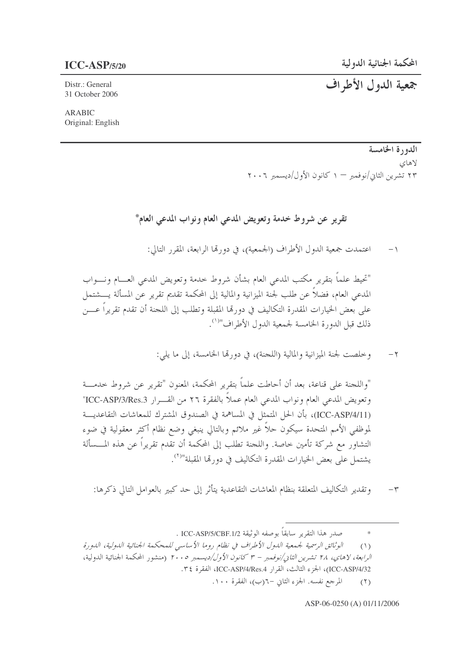جمعية الدول الأطراف

Distr.: General 31 October 2006

**ARABIC** Original: English

## الدورة الخامسة لاهاي ۲۳ تشرین الثانی/نوفمبر — ۱ کانون الأول/دیسمبر ۲۰۰۶

تقرير عن شروط خدمة وتعويض المدعى العام ونواب المدعى العام\*

اعتمدت جمعية الدول الأطراف (الجمعية)، في دورتما الرابعة، المقرر التالي:  $-$  \

"تحيط علماً بتقرير مكتب المدعى العام بشأن شروط حدمة وتعويض المدعى العسام ونسواب المدعى العام، فضلاً عن طلب لجنة الميزانية والمالية إلى المحكمة تقديم تقرير عن المسألة يــــشتمل على بعض الخيارات المقدرة التكاليف في دورتما المقبلة وتطلب إلى اللجنة أن تقدم تقريراً عــــن ذلك قبل الدورة الخامسة لجمعية الدول الأطراف"<sup>(١)</sup>.

> وخلصت لجنة الميزانية والمالية (اللجنة)، في دورها الخامسة، إلى ما يلي:  $-\gamma$

"واللجنة على قناعة، بعد أن أحاطت علماً بتقرير المحكمة، المعنون "تقرير عن شروط حدمـــة وتعويض المدعى العام ونواب المدعى العام عملاً بالفقرة ٢٦ من القـــرار ICC-ASP/3/Res.3" (ICC-ASP/4/11)، بأن الحل المتمثل في المساهمة في الصندوق المشترك للمعاشات التقاعديـــة لموظفى الأمم المتحدة سيكون حلاً غير ملائم وبالتالي ينبغي وضع نظام أكثر معقولية في ضوء التشاور مع شركة تأمين حاصة. واللجنة تطلب إلى المحكمة أن تقدم تقريراً عن هذه المـــسألة يشتمل على بعض الخيارات المقدرة التكاليف في دو, تما المقبلة"<sup>(٢)</sup>.

وتقدير التكاليف المتعلقة بنظام المعاشات التقاعدية يتأثر إلى حد كبير بالعوامل التالي ذكرها:  $-\tau$ 

> صدر هذا التقرير سابقاً بوصفه الوثيقة ICC-ASP/5/CBF.1/2 .  $\ast$

الوثائق الرسمية لجمعية الدول الأطراف في نظام روما الأساسي للمحكمة الجنائية الدولية، الدورة  $(1)$ *الرابعة، لاهاي، ٢٨ تشرين الثاني/نوفمبر – ٣ كانون الأول/ديسمبر ٢٠٠٥* (منشور المحكمة الجنائية الدولية، ICC-ASP/4/32)، الجزء الثالث، القرار ICC-ASP/4/Res.4، الفقرة ٣٤. المرجع نفسه. الجزء الثاني -٦(ب)، الفقرة ١٠٠.  $(1)$ 

ASP-06-0250 (A) 01/11/2006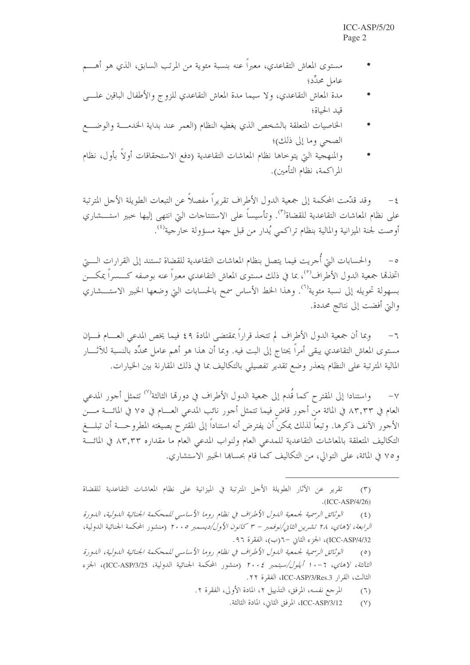- مستوى المعاش التقاعدي، معبراً عنه بنسبة مئوية من المرتب السابق، الذي هو أهــــم عامل محدِّد؛
- مدة المعاش التقاعدي، ولا سيما مدة المعاش التقاعدي للزوج والأطفال الباقين علسي قيد الحياة؛
- الخاصيات المتعلقة بالشخص الذي يغطيه النظام (العمر عند بداية الخدمسة والوضــــع الصحى وما إلى ذلك)؛
- والمنهجية التي يتوخاها نظام المعاشات التقاعدية (دفع الاستحقاقات أولاً بأول، نظام المراكمة، نظام التأمين).

وقد قدَّمت المحكمة إلى جمعية الدول الأطراف تقريراً مفصلاً عن التبعات الطويلة الأجل المترتبة  $-\xi$ على نظام المعاشات التقاعدية للقضاة<sup>(٣)</sup>. وتأسيساً على الاستنتاجات التي انتهى إليها خبير استـــشاري أوصت لجنة الميزانية والمالية بنظام تراكمي يُدارٍ من قبل جهة مسؤولة خارجية<sup>(٤)</sup>.

والحسابات التي أحريت فيما يتصل بنظام المعاشات التقاعدية للقضاة تستند إلى القرارات الــــتي  $-\circ$ اتخذها جمعية الدول الأطراف<sup>(٥)</sup>، بما في ذلك مستوى المعاش التقاعدي معبراً عنه بوصفه كــــسراً يمكــــن بسهولة تحويله إلى نسبة مئوية<sup>(٦</sup>). وهذا الخط الأساس سمح بالحسابات التي وضعها الخبير الاستــــشاري والتي أفضت إلى نتائج محددة.

وبما أن جمعية الدول الأطراف لم تتخذ قراراً بمقتضى المادة ٤٩ فيما يخص المدعى العســام فــــإن  $-7$ مستوى المعاش التقاعدي يبقى أمراً يحتاج إلى البت فيه. وبما أن هذا هو أهم عامل محدِّد بالنسبة للآثــــار المالية المترتبة على النظام يتعذر وضع تقدير تفصيلي بالتكاليف بما في ذلك المقارنة بين الخيارات.

واستنادا إلى المقترح كما قُدم إلى جمعية الدول الأطراف في دورتما الثالثة<sup>(٧)</sup> تتمثل أجور المدعى  $-\vee$ العام في ٨٣,٣٣ في المائة من أحور قاض فيما تتمثل أحور نائب المدعى العـــام في ٧٥ في المائــــة مــــن الأجور الآنف ذكرها. وتبعاً لذلك يمكن أن يفترض أنه استناداً إلى المقترح بصيغته المطروحـــة أن تبلـــغ التكاليف المتعلقة بالمعاشات التقاعدية للمدعى العام ولنواب المدعى العام ما مقداره ٨٣,٣٣ في المائـــة و ٧٥ في المائة، على التوالي، من التكاليف كما قام بحسابها الخبير الاستشاري.

تقرير عن الآثار الطويلة الأجل المترتبة في الميزانية على نظام المعاشات التقاعدية للقضاة  $(\Upsilon)$  $.(ICC-ASP/4/26)$ 

الوثائق الرسمية لجمعية الدول الأطراف في نظام روما الأساسي للمحكمة الجنائية الدولية، الدورة  $(5)$ *الرابعة، لاهاي، ٢٨ تشرين الثاني/نوفمبر – ٣ كانون الأول/ديسمبر ٢٠٠٥* (منشور المحكمة الجنائية الدولية، ICC-ASP/4/32)، الجزء الثاني –٦(ب)، الفقرة ٩٦.

الوثائق الرسمية لجمعية الدول الأطراف في نظام روما الأساسي للمحكمة الجنائية الدولية، الدورة  $(0)$ الثالثة، لاهاي، ٦-١٠ أيلول/سبتمبر ٢٠٠٤ (منشور المحكمة الجنائية الدولية، ICC-ASP/3/25)، الجزء الثالث، القرار ICC-ASP/3/Res.3، الفقرة ٢٢.

> المرجع نفسه، المرفق، التذييل ٢، المادة الأولى، الفقرة ٢.  $(7)$

> > ICC-ASP/3/12، المرفق الثاني، المادة الثالثة.  $(Y)$